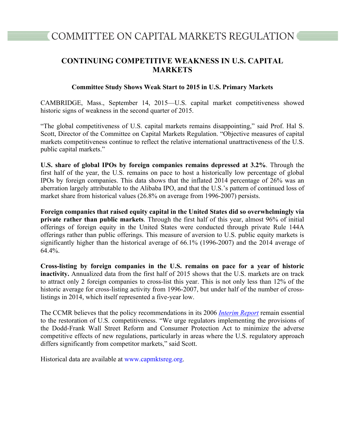## **CONTINUING COMPETITIVE WEAKNESS IN U.S. CAPITAL MARKETS**

## **Committee Study Shows Weak Start to 2015 in U.S. Primary Markets**

CAMBRIDGE, Mass., September 14, 2015—U.S. capital market competitiveness showed historic signs of weakness in the second quarter of 2015.

"The global competitiveness of U.S. capital markets remains disappointing," said Prof. Hal S. Scott, Director of the Committee on Capital Markets Regulation. "Objective measures of capital markets competitiveness continue to reflect the relative international unattractiveness of the U.S. public capital markets."

**U.S. share of global IPOs by foreign companies remains depressed at 3.2%**. Through the first half of the year, the U.S. remains on pace to host a historically low percentage of global IPOs by foreign companies. This data shows that the inflated 2014 percentage of 26% was an aberration largely attributable to the Alibaba IPO, and that the U.S.'s pattern of continued loss of market share from historical values (26.8% on average from 1996-2007) persists.

**Foreign companies that raised equity capital in the United States did so overwhelmingly via private rather than public markets**. Through the first half of this year, almost 96% of initial offerings of foreign equity in the United States were conducted through private Rule 144A offerings rather than public offerings. This measure of aversion to U.S. public equity markets is significantly higher than the historical average of 66.1% (1996-2007) and the 2014 average of 64.4%.

**Cross-listing by foreign companies in the U.S. remains on pace for a year of historic inactivity.** Annualized data from the first half of 2015 shows that the U.S. markets are on track to attract only 2 foreign companies to cross-list this year. This is not only less than 12% of the historic average for cross-listing activity from 1996-2007, but under half of the number of crosslistings in 2014, which itself represented a five-year low.

The CCMR believes that the policy recommendations in its 2006 *Interim Report* remain essential to the restoration of U.S. competitiveness. "We urge regulators implementing the provisions of the Dodd-Frank Wall Street Reform and Consumer Protection Act to minimize the adverse competitive effects of new regulations, particularly in areas where the U.S. regulatory approach differs significantly from competitor markets," said Scott.

Historical data are available at www.capmktsreg.org.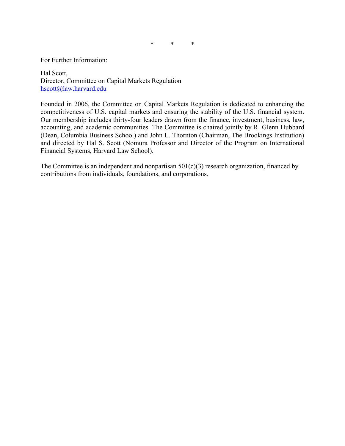\* \* \*

For Further Information:

Hal Scott, Director, Committee on Capital Markets Regulation hscott@law.harvard.edu

Founded in 2006, the Committee on Capital Markets Regulation is dedicated to enhancing the competitiveness of U.S. capital markets and ensuring the stability of the U.S. financial system. Our membership includes thirty-four leaders drawn from the finance, investment, business, law, accounting, and academic communities. The Committee is chaired jointly by R. Glenn Hubbard (Dean, Columbia Business School) and John L. Thornton (Chairman, The Brookings Institution) and directed by Hal S. Scott (Nomura Professor and Director of the Program on International Financial Systems, Harvard Law School).

The Committee is an independent and nonpartisan  $501(c)(3)$  research organization, financed by contributions from individuals, foundations, and corporations.